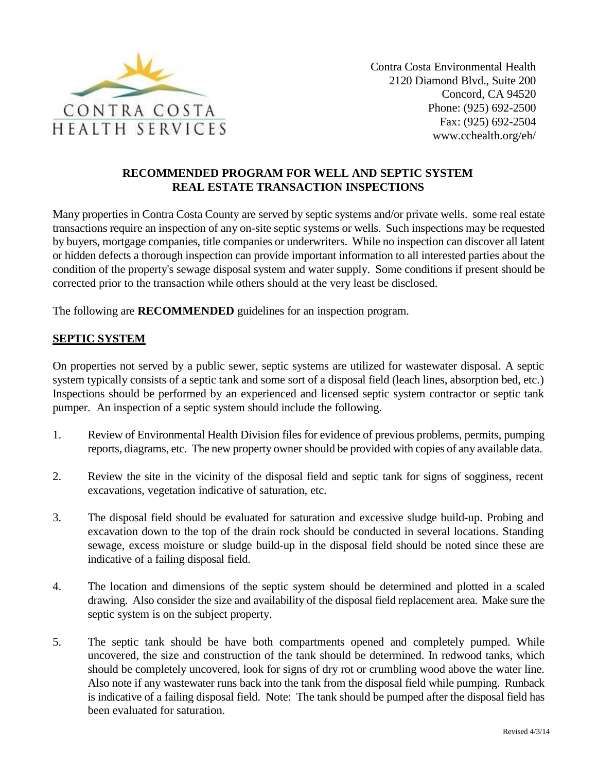

## **RECOMMENDED PROGRAM FOR WELL AND SEPTIC SYSTEM REAL ESTATE TRANSACTION INSPECTIONS**

Many properties in Contra Costa County are served by septic systems and/or private wells. some real estate transactions require an inspection of any on-site septic systems or wells. Such inspections may be requested by buyers, mortgage companies, title companies or underwriters. While no inspection can discover all latent or hidden defects a thorough inspection can provide important information to all interested parties about the condition of the property's sewage disposal system and water supply. Some conditions if present should be corrected prior to the transaction while others should at the very least be disclosed.

The following are **RECOMMENDED** guidelines for an inspection program.

## **SEPTIC SYSTEM**

On properties not served by a public sewer, septic systems are utilized for wastewater disposal. A septic system typically consists of a septic tank and some sort of a disposal field (leach lines, absorption bed, etc.) Inspections should be performed by an experienced and licensed septic system contractor or septic tank pumper. An inspection of a septic system should include the following.

- 1. Review of Environmental Health Division files for evidence of previous problems, permits, pumping reports, diagrams, etc. The new property owner should be provided with copies of any available data.
- 2. Review the site in the vicinity of the disposal field and septic tank for signs of sogginess, recent excavations, vegetation indicative of saturation, etc.
- 3. The disposal field should be evaluated for saturation and excessive sludge build-up. Probing and excavation down to the top of the drain rock should be conducted in several locations. Standing sewage, excess moisture or sludge build-up in the disposal field should be noted since these are indicative of a failing disposal field.
- 4. The location and dimensions of the septic system should be determined and plotted in a scaled drawing. Also consider the size and availability of the disposal field replacement area. Make sure the septic system is on the subject property.
- 5. The septic tank should be have both compartments opened and completely pumped. While uncovered, the size and construction of the tank should be determined. In redwood tanks, which should be completely uncovered, look for signs of dry rot or crumbling wood above the water line. Also note if any wastewater runs back into the tank from the disposal field while pumping. Runback is indicative of a failing disposal field. Note: The tank should be pumped after the disposal field has been evaluated for saturation.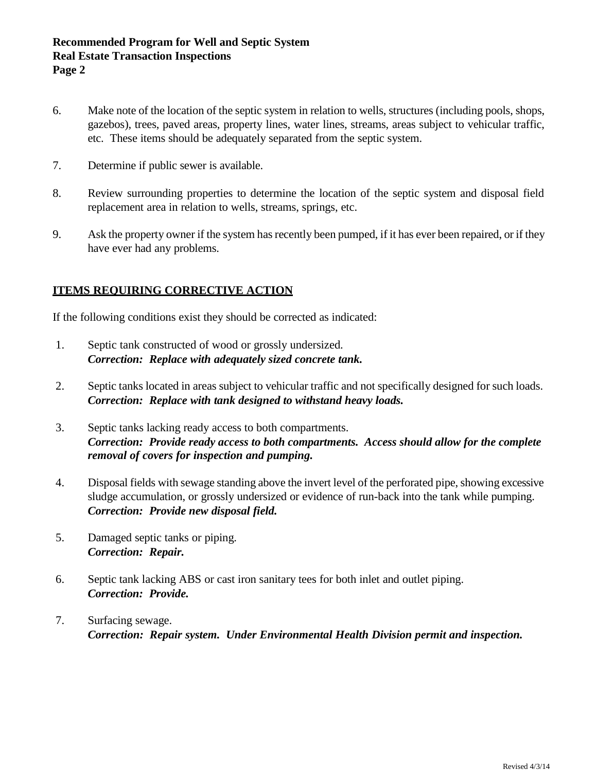## **Recommended Program for Well and Septic System Real Estate Transaction Inspections Page 2**

- 6. Make note of the location of the septic system in relation to wells, structures (including pools, shops, gazebos), trees, paved areas, property lines, water lines, streams, areas subject to vehicular traffic, etc. These items should be adequately separated from the septic system.
- 7. Determine if public sewer is available.
- 8. Review surrounding properties to determine the location of the septic system and disposal field replacement area in relation to wells, streams, springs, etc.
- 9. Ask the property owner if the system has recently been pumped, if it has ever been repaired, or if they have ever had any problems.

## **ITEMS REQUIRING CORRECTIVE ACTION**

If the following conditions exist they should be corrected as indicated:

- 1. Septic tank constructed of wood or grossly undersized. *Correction: Replace with adequately sized concrete tank.*
- 2. Septic tanks located in areas subject to vehicular traffic and not specifically designed for such loads. *Correction: Replace with tank designed to withstand heavy loads.*
- 3. Septic tanks lacking ready access to both compartments. *Correction: Provide ready access to both compartments. Access should allow for the complete removal of covers for inspection and pumping.*
- 4. Disposal fields with sewage standing above the invert level of the perforated pipe, showing excessive sludge accumulation, or grossly undersized or evidence of run-back into the tank while pumping. *Correction: Provide new disposal field.*
- 5. Damaged septic tanks or piping. *Correction: Repair.*
- 6. Septic tank lacking ABS or cast iron sanitary tees for both inlet and outlet piping. *Correction: Provide.*
- 7. Surfacing sewage. *Correction: Repair system. Under Environmental Health Division permit and inspection.*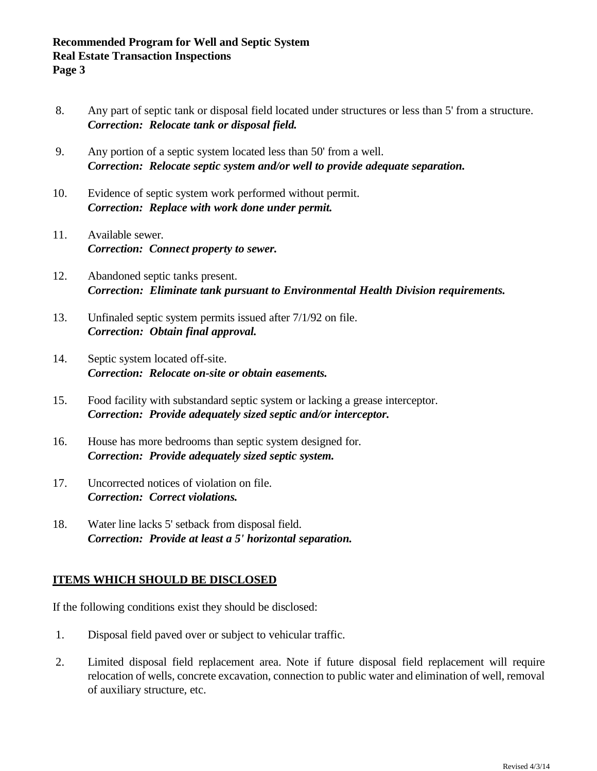- 8. Any part of septic tank or disposal field located under structures or less than 5' from a structure. *Correction: Relocate tank or disposal field.*
- 9. Any portion of a septic system located less than 50' from a well. *Correction: Relocate septic system and/or well to provide adequate separation.*
- 10. Evidence of septic system work performed without permit. *Correction: Replace with work done under permit.*
- 11. Available sewer. *Correction: Connect property to sewer.*
- 12. Abandoned septic tanks present. *Correction: Eliminate tank pursuant to Environmental Health Division requirements.*
- 13. Unfinaled septic system permits issued after 7/1/92 on file. *Correction: Obtain final approval.*
- 14. Septic system located off-site. *Correction: Relocate on-site or obtain easements.*
- 15. Food facility with substandard septic system or lacking a grease interceptor. *Correction: Provide adequately sized septic and/or interceptor.*
- 16. House has more bedrooms than septic system designed for. *Correction: Provide adequately sized septic system.*
- 17. Uncorrected notices of violation on file. *Correction: Correct violations.*
- 18. Water line lacks 5' setback from disposal field. *Correction: Provide at least a 5' horizontal separation.*

# **ITEMS WHICH SHOULD BE DISCLOSED**

If the following conditions exist they should be disclosed:

- 1. Disposal field paved over or subject to vehicular traffic.
- 2. Limited disposal field replacement area. Note if future disposal field replacement will require relocation of wells, concrete excavation, connection to public water and elimination of well, removal of auxiliary structure, etc.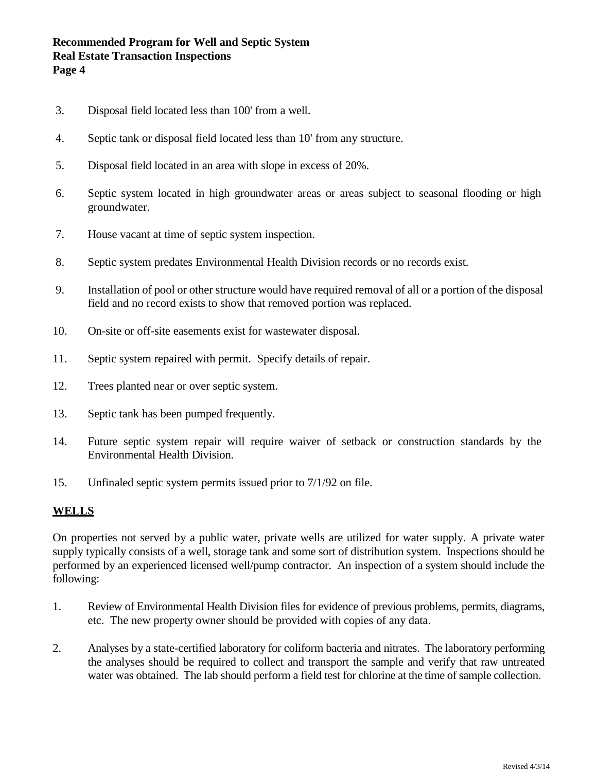## **Recommended Program for Well and Septic System Real Estate Transaction Inspections Page 4**

- 3. Disposal field located less than 100' from a well.
- 4. Septic tank or disposal field located less than 10' from any structure.
- 5. Disposal field located in an area with slope in excess of 20%.
- 6. Septic system located in high groundwater areas or areas subject to seasonal flooding or high groundwater.
- 7. House vacant at time of septic system inspection.
- 8. Septic system predates Environmental Health Division records or no records exist.
- 9. Installation of pool or other structure would have required removal of all or a portion of the disposal field and no record exists to show that removed portion was replaced.
- 10. On-site or off-site easements exist for wastewater disposal.
- 11. Septic system repaired with permit. Specify details of repair.
- 12. Trees planted near or over septic system.
- 13. Septic tank has been pumped frequently.
- 14. Future septic system repair will require waiver of setback or construction standards by the Environmental Health Division.
- 15. Unfinaled septic system permits issued prior to 7/1/92 on file.

#### **WELLS**

On properties not served by a public water, private wells are utilized for water supply. A private water supply typically consists of a well, storage tank and some sort of distribution system. Inspections should be performed by an experienced licensed well/pump contractor. An inspection of a system should include the following:

- 1. Review of Environmental Health Division files for evidence of previous problems, permits, diagrams, etc. The new property owner should be provided with copies of any data.
- 2. Analyses by a state-certified laboratory for coliform bacteria and nitrates. The laboratory performing the analyses should be required to collect and transport the sample and verify that raw untreated water was obtained. The lab should perform a field test for chlorine at the time of sample collection.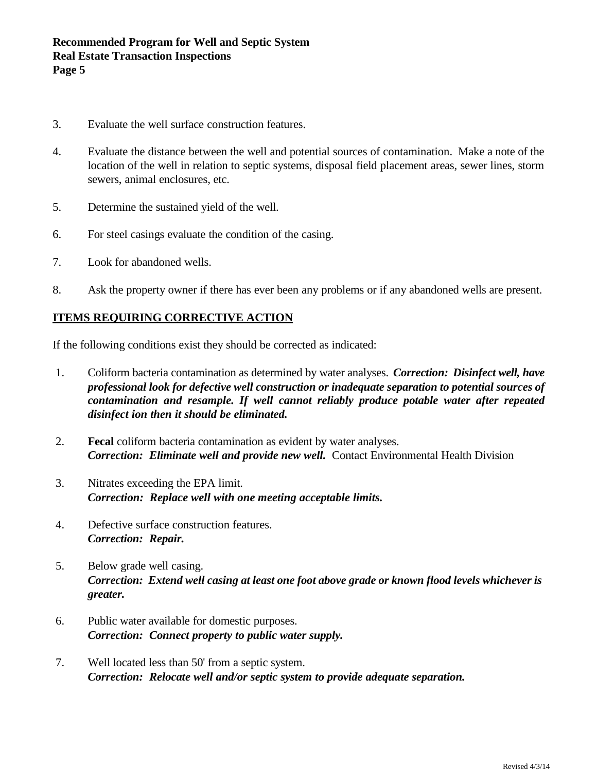- 3. Evaluate the well surface construction features.
- 4. Evaluate the distance between the well and potential sources of contamination. Make a note of the location of the well in relation to septic systems, disposal field placement areas, sewer lines, storm sewers, animal enclosures, etc.
- 5. Determine the sustained yield of the well.
- 6. For steel casings evaluate the condition of the casing.
- 7. Look for abandoned wells.
- 8. Ask the property owner if there has ever been any problems or if any abandoned wells are present.

#### **ITEMS REQUIRING CORRECTIVE ACTION**

If the following conditions exist they should be corrected as indicated:

- 1. Coliform bacteria contamination as determined by water analyses. *Correction: Disinfect well, have professional look for defective well construction or inadequate separation to potential sources of contamination and resample. If well cannot reliably produce potable water after repeated disinfect ion then it should be eliminated.*
- 2. **Fecal** coliform bacteria contamination as evident by water analyses. *Correction: Eliminate well and provide new well.* Contact Environmental Health Division
- 3. Nitrates exceeding the EPA limit. *Correction: Replace well with one meeting acceptable limits.*
- 4. Defective surface construction features. *Correction: Repair.*
- 5. Below grade well casing. *Correction: Extend well casing at least one foot above grade or known flood levels whichever is greater.*
- 6. Public water available for domestic purposes. *Correction: Connect property to public water supply.*
- 7. Well located less than 50' from a septic system. *Correction: Relocate well and/or septic system to provide adequate separation.*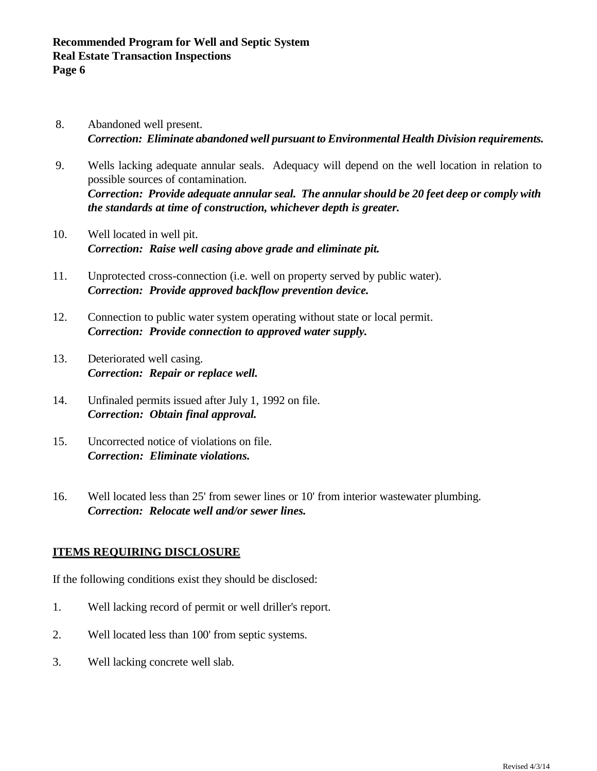- 8. Abandoned well present. *Correction: Eliminate abandoned well pursuant to Environmental Health Division requirements.*
- 9. Wells lacking adequate annular seals. Adequacy will depend on the well location in relation to possible sources of contamination. *Correction: Provide adequate annular seal. The annular should be 20 feet deep or comply with the standards at time of construction, whichever depth is greater.*
- 10. Well located in well pit. *Correction: Raise well casing above grade and eliminate pit.*
- 11. Unprotected cross-connection (i.e. well on property served by public water). *Correction: Provide approved backflow prevention device.*
- 12. Connection to public water system operating without state or local permit. *Correction: Provide connection to approved water supply.*
- 13. Deteriorated well casing. *Correction: Repair or replace well.*
- 14. Unfinaled permits issued after July 1, 1992 on file. *Correction: Obtain final approval.*
- 15. Uncorrected notice of violations on file. *Correction: Eliminate violations.*
- 16. Well located less than 25' from sewer lines or 10' from interior wastewater plumbing. *Correction: Relocate well and/or sewer lines.*

## **ITEMS REQUIRING DISCLOSURE**

If the following conditions exist they should be disclosed:

- 1. Well lacking record of permit or well driller's report.
- 2. Well located less than 100' from septic systems.
- 3. Well lacking concrete well slab.